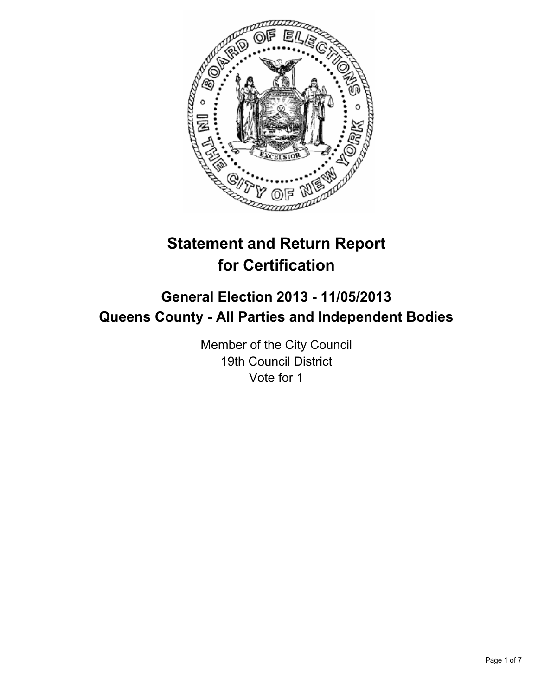

# **Statement and Return Report for Certification**

## **General Election 2013 - 11/05/2013 Queens County - All Parties and Independent Bodies**

Member of the City Council 19th Council District Vote for 1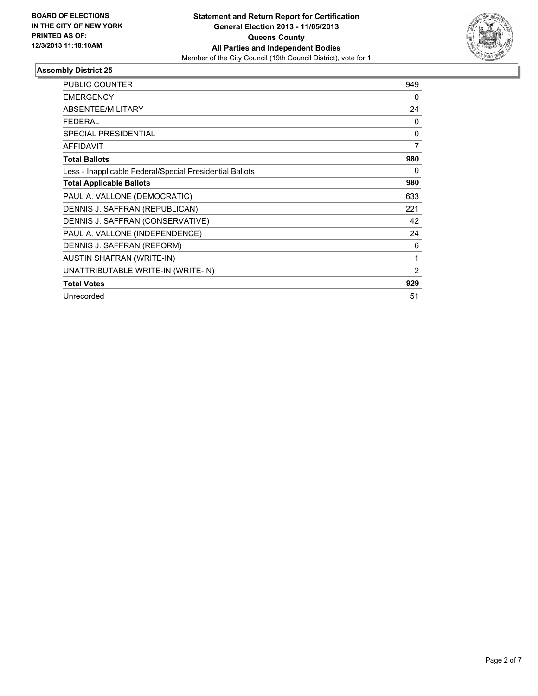

| <b>PUBLIC COUNTER</b>                                    | 949 |
|----------------------------------------------------------|-----|
| <b>EMERGENCY</b>                                         | 0   |
| <b>ABSENTEE/MILITARY</b>                                 | 24  |
| <b>FEDERAL</b>                                           | 0   |
| <b>SPECIAL PRESIDENTIAL</b>                              | 0   |
| <b>AFFIDAVIT</b>                                         | 7   |
| <b>Total Ballots</b>                                     | 980 |
| Less - Inapplicable Federal/Special Presidential Ballots | 0   |
| <b>Total Applicable Ballots</b>                          | 980 |
| PAUL A. VALLONE (DEMOCRATIC)                             | 633 |
| DENNIS J. SAFFRAN (REPUBLICAN)                           | 221 |
| DENNIS J. SAFFRAN (CONSERVATIVE)                         | 42  |
| PAUL A. VALLONE (INDEPENDENCE)                           | 24  |
| DENNIS J. SAFFRAN (REFORM)                               | 6   |
| <b>AUSTIN SHAFRAN (WRITE-IN)</b>                         | 1   |
| UNATTRIBUTABLE WRITE-IN (WRITE-IN)                       | 2   |
| <b>Total Votes</b>                                       | 929 |
| Unrecorded                                               | 51  |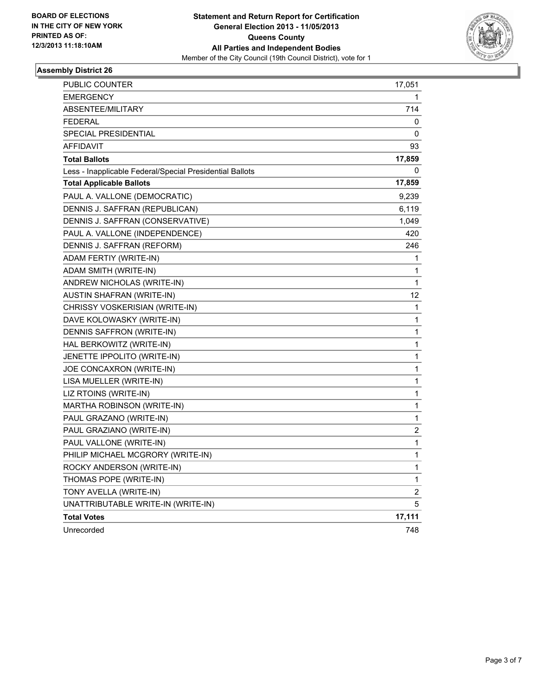

| PUBLIC COUNTER                                           | 17,051 |
|----------------------------------------------------------|--------|
| <b>EMERGENCY</b>                                         | 1      |
| ABSENTEE/MILITARY                                        | 714    |
| <b>FEDERAL</b>                                           | 0      |
| SPECIAL PRESIDENTIAL                                     | 0      |
| <b>AFFIDAVIT</b>                                         | 93     |
| <b>Total Ballots</b>                                     | 17,859 |
| Less - Inapplicable Federal/Special Presidential Ballots | 0      |
| <b>Total Applicable Ballots</b>                          | 17,859 |
| PAUL A. VALLONE (DEMOCRATIC)                             | 9,239  |
| DENNIS J. SAFFRAN (REPUBLICAN)                           | 6,119  |
| DENNIS J. SAFFRAN (CONSERVATIVE)                         | 1,049  |
| PAUL A. VALLONE (INDEPENDENCE)                           | 420    |
| DENNIS J. SAFFRAN (REFORM)                               | 246    |
| ADAM FERTIY (WRITE-IN)                                   | 1      |
| ADAM SMITH (WRITE-IN)                                    | 1      |
| ANDREW NICHOLAS (WRITE-IN)                               | 1      |
| AUSTIN SHAFRAN (WRITE-IN)                                | 12     |
| CHRISSY VOSKERISIAN (WRITE-IN)                           | 1      |
| DAVE KOLOWASKY (WRITE-IN)                                | 1      |
| DENNIS SAFFRON (WRITE-IN)                                | 1      |
| HAL BERKOWITZ (WRITE-IN)                                 | 1      |
| JENETTE IPPOLITO (WRITE-IN)                              | 1      |
| JOE CONCAXRON (WRITE-IN)                                 | 1      |
| LISA MUELLER (WRITE-IN)                                  | 1      |
| LIZ RTOINS (WRITE-IN)                                    | 1      |
| MARTHA ROBINSON (WRITE-IN)                               | 1      |
| PAUL GRAZANO (WRITE-IN)                                  | 1      |
| PAUL GRAZIANO (WRITE-IN)                                 | 2      |
| PAUL VALLONE (WRITE-IN)                                  | 1      |
| PHILIP MICHAEL MCGRORY (WRITE-IN)                        | 1      |
| ROCKY ANDERSON (WRITE-IN)                                | 1      |
| THOMAS POPE (WRITE-IN)                                   | 1      |
| TONY AVELLA (WRITE-IN)                                   | 2      |
| UNATTRIBUTABLE WRITE-IN (WRITE-IN)                       | 5      |
| <b>Total Votes</b>                                       | 17,111 |
| Unrecorded                                               | 748    |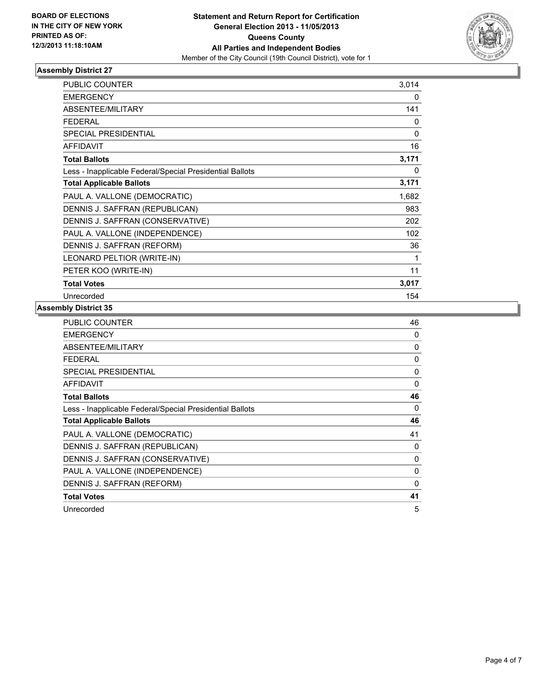

| <b>PUBLIC COUNTER</b>                                    | 3,014    |
|----------------------------------------------------------|----------|
| <b>EMERGENCY</b>                                         | 0        |
| ABSENTEE/MILITARY                                        | 141      |
| <b>FEDERAL</b>                                           | 0        |
| <b>SPECIAL PRESIDENTIAL</b>                              | 0        |
| <b>AFFIDAVIT</b>                                         | 16       |
| <b>Total Ballots</b>                                     | 3,171    |
| Less - Inapplicable Federal/Special Presidential Ballots | $\Omega$ |
| <b>Total Applicable Ballots</b>                          | 3,171    |
| PAUL A. VALLONE (DEMOCRATIC)                             | 1,682    |
| DENNIS J. SAFFRAN (REPUBLICAN)                           | 983      |
| DENNIS J. SAFFRAN (CONSERVATIVE)                         | 202      |
| PAUL A. VALLONE (INDEPENDENCE)                           | 102      |
| DENNIS J. SAFFRAN (REFORM)                               | 36       |
| LEONARD PELTIOR (WRITE-IN)                               | 1        |
| PETER KOO (WRITE-IN)                                     | 11       |
| <b>Total Votes</b>                                       | 3,017    |
| Unrecorded                                               | 154      |

| PUBLIC COUNTER                                           | 46 |
|----------------------------------------------------------|----|
| <b>EMERGENCY</b>                                         | 0  |
| ABSENTEE/MILITARY                                        | 0  |
| <b>FEDERAL</b>                                           | 0  |
| <b>SPECIAL PRESIDENTIAL</b>                              | 0  |
| <b>AFFIDAVIT</b>                                         | 0  |
| <b>Total Ballots</b>                                     | 46 |
| Less - Inapplicable Federal/Special Presidential Ballots | 0  |
| <b>Total Applicable Ballots</b>                          | 46 |
| PAUL A. VALLONE (DEMOCRATIC)                             | 41 |
| DENNIS J. SAFFRAN (REPUBLICAN)                           | 0  |
| DENNIS J. SAFFRAN (CONSERVATIVE)                         | 0  |
| PAUL A. VALLONE (INDEPENDENCE)                           | 0  |
| DENNIS J. SAFFRAN (REFORM)                               | 0  |
| <b>Total Votes</b>                                       | 41 |
|                                                          |    |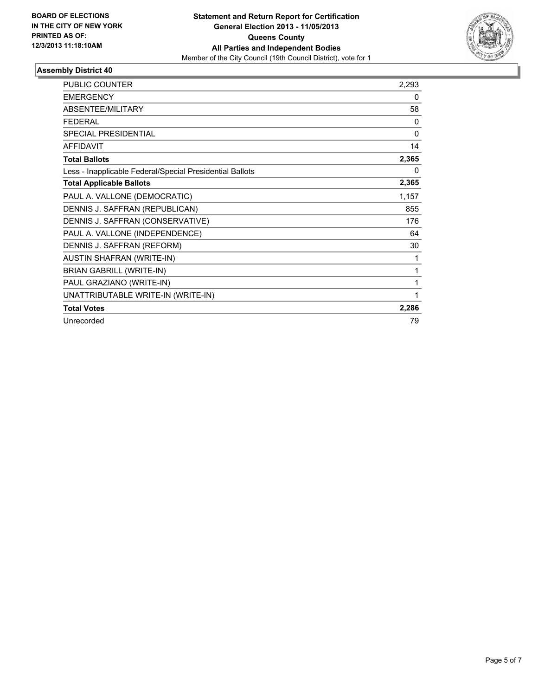

| <b>PUBLIC COUNTER</b>                                    | 2,293        |
|----------------------------------------------------------|--------------|
| <b>EMERGENCY</b>                                         | 0            |
| ABSENTEE/MILITARY                                        | 58           |
| <b>FEDERAL</b>                                           | $\Omega$     |
| SPECIAL PRESIDENTIAL                                     | $\Omega$     |
| <b>AFFIDAVIT</b>                                         | 14           |
| <b>Total Ballots</b>                                     | 2,365        |
| Less - Inapplicable Federal/Special Presidential Ballots | $\mathbf{0}$ |
| <b>Total Applicable Ballots</b>                          | 2,365        |
| PAUL A. VALLONE (DEMOCRATIC)                             | 1,157        |
| DENNIS J. SAFFRAN (REPUBLICAN)                           | 855          |
| DENNIS J. SAFFRAN (CONSERVATIVE)                         | 176          |
| PAUL A. VALLONE (INDEPENDENCE)                           | 64           |
| DENNIS J. SAFFRAN (REFORM)                               | 30           |
| <b>AUSTIN SHAFRAN (WRITE-IN)</b>                         | 1            |
| <b>BRIAN GABRILL (WRITE-IN)</b>                          | 1            |
| PAUL GRAZIANO (WRITE-IN)                                 | 1            |
| UNATTRIBUTABLE WRITE-IN (WRITE-IN)                       | 1            |
| <b>Total Votes</b>                                       | 2,286        |
| Unrecorded                                               | 79           |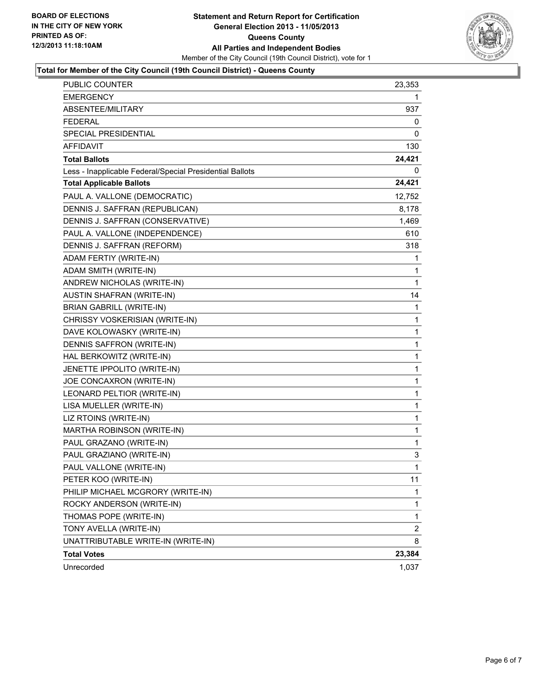

#### **Total for Member of the City Council (19th Council District) - Queens County**

| <b>PUBLIC COUNTER</b>                                    | 23,353       |
|----------------------------------------------------------|--------------|
| <b>EMERGENCY</b>                                         | 1            |
| ABSENTEE/MILITARY                                        | 937          |
| <b>FEDERAL</b>                                           | 0            |
| SPECIAL PRESIDENTIAL                                     | 0            |
| <b>AFFIDAVIT</b>                                         | 130          |
| <b>Total Ballots</b>                                     | 24,421       |
| Less - Inapplicable Federal/Special Presidential Ballots | 0            |
| <b>Total Applicable Ballots</b>                          | 24,421       |
| PAUL A. VALLONE (DEMOCRATIC)                             | 12,752       |
| DENNIS J. SAFFRAN (REPUBLICAN)                           | 8,178        |
| DENNIS J. SAFFRAN (CONSERVATIVE)                         | 1,469        |
| PAUL A. VALLONE (INDEPENDENCE)                           | 610          |
| DENNIS J. SAFFRAN (REFORM)                               | 318          |
| ADAM FERTIY (WRITE-IN)                                   | 1            |
| ADAM SMITH (WRITE-IN)                                    | 1            |
| ANDREW NICHOLAS (WRITE-IN)                               | 1            |
| <b>AUSTIN SHAFRAN (WRITE-IN)</b>                         | 14           |
| <b>BRIAN GABRILL (WRITE-IN)</b>                          | 1            |
| CHRISSY VOSKERISIAN (WRITE-IN)                           | 1            |
| DAVE KOLOWASKY (WRITE-IN)                                | 1            |
| DENNIS SAFFRON (WRITE-IN)                                | 1            |
| HAL BERKOWITZ (WRITE-IN)                                 | 1            |
| JENETTE IPPOLITO (WRITE-IN)                              | 1            |
| JOE CONCAXRON (WRITE-IN)                                 | 1            |
| LEONARD PELTIOR (WRITE-IN)                               | 1            |
| LISA MUELLER (WRITE-IN)                                  | 1            |
| LIZ RTOINS (WRITE-IN)                                    | 1            |
| MARTHA ROBINSON (WRITE-IN)                               | 1            |
| PAUL GRAZANO (WRITE-IN)                                  | 1            |
| PAUL GRAZIANO (WRITE-IN)                                 | 3            |
| PAUL VALLONE (WRITE-IN)                                  | $\mathbf{1}$ |
| PETER KOO (WRITE-IN)                                     | 11           |
| PHILIP MICHAEL MCGRORY (WRITE-IN)                        | 1            |
| ROCKY ANDERSON (WRITE-IN)                                | 1            |
| THOMAS POPE (WRITE-IN)                                   | 1            |
| TONY AVELLA (WRITE-IN)                                   | 2            |
| UNATTRIBUTABLE WRITE-IN (WRITE-IN)                       | 8            |
| <b>Total Votes</b>                                       | 23,384       |
| Unrecorded                                               | 1,037        |